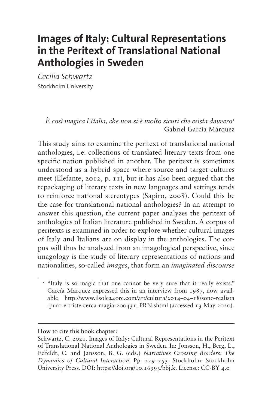# **Images of Italy: Cultural Representations in the Peritext of Translational National Anthologies in Sweden**

*Cecilia Schwartz* Stockholm University

> *È così magica l'Italia, che non si è molto sicuri che esista davvero*[1](#page-0-0) Gabriel García Márquez

This study aims to examine the peritext of translational national anthologies, i.e. collections of translated literary texts from one specific nation published in another. The peritext is sometimes understood as a hybrid space where source and target cultures meet (Elefante, 2012, p. 11), but it has also been argued that the repackaging of literary texts in new languages and settings tends to reinforce national stereotypes (Sapiro, 2008). Could this be the case for translational national anthologies? In an attempt to answer this question, the current paper analyzes the peritext of anthologies of Italian literature published in Sweden. A corpus of peritexts is examined in order to explore whether cultural images of Italy and Italians are on display in the anthologies. The corpus will thus be analyzed from an imagological perspective, since imagology is the study of literary representations of nations and nationalities, so-called *images*, that form an *imaginated discourse*

#### **How to cite this book chapter:**

<span id="page-0-0"></span><sup>&</sup>lt;sup>1</sup> "Italy is so magic that one cannot be very sure that it really exists." García Márquez expressed this in an interview from 1987, now available [http://www.ilsole24ore.com/art/cultura/2014–04–18/sono-realista](http://www.ilsole24ore.com/art/cultura/2014-04-18/sono-realista-puro-e-triste-cerca-magia-200431_PRN.shtml) [-puro-e-triste-cerca-magia-200431\\_PRN.shtml](http://www.ilsole24ore.com/art/cultura/2014-04-18/sono-realista-puro-e-triste-cerca-magia-200431_PRN.shtml) (accessed 13 May 2020).

Schwartz, C. 2021. Images of Italy: Cultural Representations in the Peritext of Translational National Anthologies in Sweden. In: Jonsson, H., Berg, L., Edfeldt, C. and Jansson, B. G. (eds.) *Narratives Crossing Borders: The Dynamics of Cultural Interaction.* Pp. 229–253. Stockholm: Stockholm University Press. DOI: [https://doi.org/10.16993/bbj.k.](https://doi.org/10.16993/bbj.k) License: CC-BY 4.0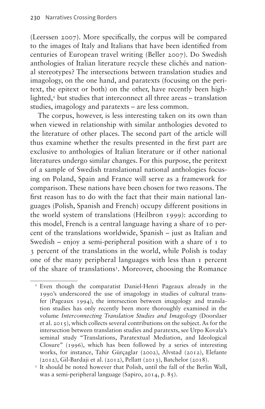(Leerssen 2007). More specifically, the corpus will be compared to the images of Italy and Italians that have been identified from centuries of European travel writing (Beller 2007). Do Swedish anthologies of Italian literature recycle these clichés and national stereotypes? The intersections between translation studies and imagology, on the one hand, and paratexts (focusing on the peritext, the epitext or both) on the other, have recently been highlighted,<sup>2</sup> but studies that interconnect all three areas – translation studies, imagology and paratexts – are less common.

The corpus, however, is less interesting taken on its own than when viewed in relationship with similar anthologies devoted to the literature of other places. The second part of the article will thus examine whether the results presented in the first part are exclusive to anthologies of Italian literature or if other national literatures undergo similar changes. For this purpose, the peritext of a sample of Swedish translational national anthologies focusing on Poland, Spain and France will serve as a framework for comparison. These nations have been chosen for two reasons. The first reason has to do with the fact that their main national languages (Polish, Spanish and French) occupy different positions in the world system of translations (Heilbron 1999): according to this model, French is a central language having a share of 10 percent of the translations worldwide, Spanish – just as Italian and Swedish – enjoy a semi-peripheral position with a share of  $\bar{1}$  to 3 percent of the translations in the world, while Polish is today one of the many peripheral languages with less than 1 percent of the share of translations<sup>[3](#page-1-1)</sup>. Moreover, choosing the Romance

<span id="page-1-0"></span><sup>2</sup> Even though the comparatist Daniel-Henri Pageaux already in the 1990's underscored the use of imagology in studies of cultural transfer (Pageaux 1994), the intersection between imagology and translation studies has only recently been more thoroughly examined in the volume *Interconnecting Translation Studies and Imagology* (Doorslaer et al. 2015), which collects several contributions on the subject. As for the intersection between translation studies and paratexts, see Urpo Kovala's seminal study "Translations, Paratextual Mediation, and Ideological Closure" (1996), which has been followed by a series of interesting works, for instance, Tahir Gürçaglar (2002), Alvstad (2012), Elefante (2012), Gil-Bardaji et al. (2012), Pellatt (2013), Batchelor (2018).

<span id="page-1-1"></span><sup>&</sup>lt;sup>3</sup> It should be noted however that Polish, until the fall of the Berlin Wall, was a semi-peripheral language (Sapiro, 2014, p. 85).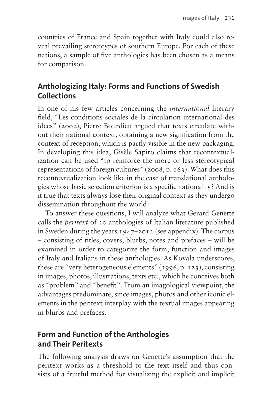countries of France and Spain together with Italy could also reveal prevailing stereotypes of southern Europe. For each of these nations, a sample of five anthologies has been chosen as a means for comparison.

# **Anthologizing Italy: Forms and Functions of Swedish Collections**

In one of his few articles concerning the *international* literary field, "Les conditions sociales de la circulation international des idees" (2002), Pierre Bourdieu argued that texts circulate without their national context, obtaining a new signification from the context of reception, which is partly visible in the new packaging. In developing this idea, Gisèle Sapiro claims that recontextualization can be used "to reinforce the more or less stereotypical representations of foreign cultures" (2008, p. 163). What does this recontextualization look like in the case of translational anthologies whose basic selection criterion is a specific nationality? And is it true that texts always lose their original context as they undergo dissemination throughout the world?

To answer these questions, I will analyze what Gerard Genette calls the *peritext* of 20 anthologies of Italian literature published in Sweden during the years 1947–2012 (see appendix). The corpus – consisting of titles, covers, blurbs, notes and prefaces – will be examined in order to categorize the form, function and images of Italy and Italians in these anthologies. As Kovala underscores, these are "very heterogeneous elements" (1996, p. 123), consisting in images, photos, illustrations, texts etc., which he conceives both as "problem" and "benefit". From an imagological viewpoint, the advantages predominate, since images, photos and other iconic elements in the peritext interplay with the textual images appearing in blurbs and prefaces.

#### **Form and Function of the Anthologies and Their Peritexts**

The following analysis draws on Genette's assumption that the peritext works as a threshold to the text itself and thus consists of a fruitful method for visualizing the explicit and implicit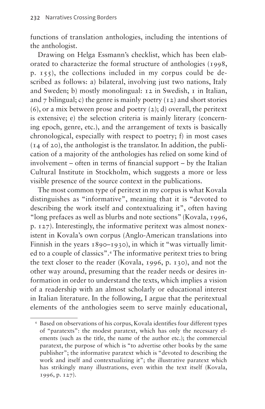functions of translation anthologies, including the intentions of the anthologist.

Drawing on Helga Essmann's checklist, which has been elaborated to characterize the formal structure of anthologies (1998, p. 155), the collections included in my corpus could be described as follows: a) bilateral, involving just two nations, Italy and Sweden; b) mostly monolingual: 12 in Swedish, 1 in Italian, and 7 bilingual; c) the genre is mainly poetry  $(12)$  and short stories  $(6)$ , or a mix between prose and poetry  $(2)$ ; d) overall, the peritext is extensive; e) the selection criteria is mainly literary (concerning epoch, genre, etc.), and the arrangement of texts is basically chronological, especially with respect to poetry; f) in most cases (14 of 20), the anthologist is the translator. In addition, the publication of a majority of the anthologies has relied on some kind of involvement – often in terms of financial support – by the Italian Cultural Institute in Stockholm, which suggests a more or less visible presence of the source context in the publications.

The most common type of peritext in my corpus is what Kovala distinguishes as "informative", meaning that it is "devoted to describing the work itself and contextualizing it", often having "long prefaces as well as blurbs and note sections" (Kovala, 1996, p. 127). Interestingly, the informative peritext was almost nonexistent in Kovala's own corpus (Anglo-American translations into Finnish in the years 1890–1930), in which it "was virtually limited to a couple of classics".[4](#page-3-0) The informative peritext tries to bring the text closer to the reader (Kovala, 1996, p. 130), and not the other way around, presuming that the reader needs or desires information in order to understand the texts, which implies a vision of a readership with an almost scholarly or educational interest in Italian literature. In the following, I argue that the peritextual elements of the anthologies seem to serve mainly educational,

<span id="page-3-0"></span><sup>4</sup> Based on observations of his corpus, Kovala identifies four different types of "paratexts": the modest paratext, which has only the necessary elements (such as the title, the name of the author etc.); the commercial paratext, the purpose of which is "to advertise other books by the same publisher"; the informative paratext which is "devoted to describing the work and itself and contextualizing it"; the illustrative paratext which has strikingly many illustrations, even within the text itself (Kovala, 1996, p. 127).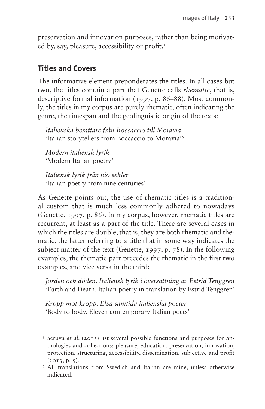preservation and innovation purposes, rather than being motivated by, say, pleasure, accessibility or profit.[5](#page-4-0)

### **Titles and Covers**

The informative element preponderates the titles. In all cases but two, the titles contain a part that Genette calls *rhematic*, that is, descriptive formal information (1997, p. 86–88). Most commonly, the titles in my corpus are purely rhematic, often indicating the genre, the timespan and the geolinguistic origin of the texts:

*Italienska berättare från Boccaccio till Moravia* 'Italian storytellers from Boccaccio to Moravia['6](#page-4-1)

*Modern italiensk lyrik* 'Modern Italian poetry'

*Italiensk lyrik från nio sekler* 'Italian poetry from nine centuries'

As Genette points out, the use of rhematic titles is a traditional custom that is much less commonly adhered to nowadays (Genette, 1997, p. 86). In my corpus, however, rhematic titles are recurrent, at least as a part of the title. There are several cases in which the titles are double, that is, they are both rhematic and thematic, the latter referring to a title that in some way indicates the subject matter of the text (Genette, 1997, p. 78). In the following examples, the thematic part precedes the rhematic in the first two examples, and vice versa in the third:

*Jorden och döden. Italiensk lyrik i översättning av Estrid Tenggren* 'Earth and Death. Italian poetry in translation by Estrid Tenggren'

*Kropp mot kropp. Elva samtida italienska poeter* 'Body to body. Eleven contemporary Italian poets'

<span id="page-4-0"></span><sup>5</sup> Seruya *et al*. (2013) list several possible functions and purposes for anthologies and collections: pleasure, education, preservation, innovation, protection, structuring, accessibility, dissemination, subjective and profit  $(2013, p. 5).$ 

<span id="page-4-1"></span><sup>6</sup> All translations from Swedish and Italian are mine, unless otherwise indicated.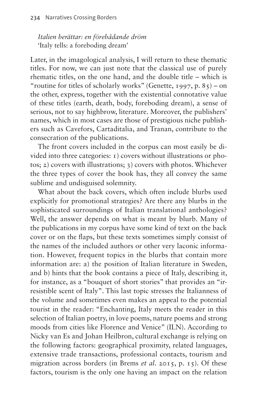*Italien berättar: en förebådande dröm* 'Italy tells: a foreboding dream'

Later, in the imagological analysis, I will return to these thematic titles. For now, we can just note that the classical use of purely rhematic titles, on the one hand, and the double title – which is "routine for titles of scholarly works" (Genette, 1997, p.  $85$ ) – on the other, express, together with the existential connotative value of these titles (earth, death, body, foreboding dream), a sense of serious, not to say highbrow, literature. Moreover, the publishers' names, which in most cases are those of prestigious niche publishers such as Cavefors, Cartaditalia, and Tranan, contribute to the consecration of the publications.

The front covers included in the corpus can most easily be divided into three categories: 1) covers without illustrations or photos; 2) covers with illustrations; 3) covers with photos. Whichever the three types of cover the book has, they all convey the same sublime and undisguised solemnity.

What about the back covers, which often include blurbs used explicitly for promotional strategies? Are there any blurbs in the sophisticated surroundings of Italian translational anthologies? Well, the answer depends on what is meant by blurb. Many of the publications in my corpus have some kind of text on the back cover or on the flaps, but these texts sometimes simply consist of the names of the included authors or other very laconic information. However, frequent topics in the blurbs that contain more information are: a) the position of Italian literature in Sweden, and b) hints that the book contains a piece of Italy, describing it, for instance, as a "bouquet of short stories" that provides an "irresistible scent of Italy". This last topic stresses the Italianness of the volume and sometimes even makes an appeal to the potential tourist in the reader: "Enchanting, Italy meets the reader in this selection of Italian poetry, in love poems, nature poems and strong moods from cities like Florence and Venice" (ILN). According to Nicky van Es and Johan Heilbron, cultural exchange is relying on the following factors: geographical proximity, related languages, extensive trade transactions, professional contacts, tourism and migration across borders (in Brems *et al*. 2015, p. 15). Of these factors, tourism is the only one having an impact on the relation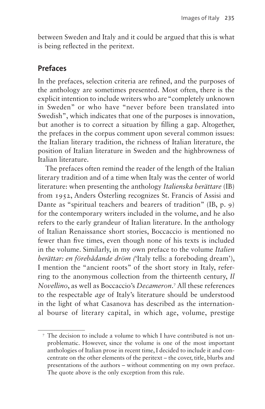between Sweden and Italy and it could be argued that this is what is being reflected in the peritext.

### **Prefaces**

In the prefaces, selection criteria are refined, and the purposes of the anthology are sometimes presented. Most often, there is the explicit intention to include writers who are "completely unknown in Sweden" or who have "never before been translated into Swedish", which indicates that one of the purposes is innovation, but another is to correct a situation by filling a gap. Altogether, the prefaces in the corpus comment upon several common issues: the Italian literary tradition, the richness of Italian literature, the position of Italian literature in Sweden and the highbrowness of Italian literature.

The prefaces often remind the reader of the length of the Italian literary tradition and of a time when Italy was the center of world literature: when presenting the anthology *Italienska berättare* (IB) from 1952, Anders Österling recognizes St. Francis of Assisi and Dante as "spiritual teachers and bearers of tradition" (IB, p. 9) for the contemporary writers included in the volume, and he also refers to the early grandeur of Italian literature. In the anthology of Italian Renaissance short stories, Boccaccio is mentioned no fewer than five times, even though none of his texts is included in the volume. Similarly, in my own preface to the volume *Italien berättar: en förebådande dröm (*'Italy tells: a foreboding dream'), I mention the "ancient roots" of the short story in Italy, referring to the anonymous collection from the thirteenth century, *Il Novellino*, as well as Boccaccio's *Decameron*. [7](#page-6-0) All these references to the respectable *age* of Italy's literature should be understood in the light of what Casanova has described as the international bourse of literary capital, in which age, volume, prestige

<span id="page-6-0"></span><sup>7</sup> The decision to include a volume to which I have contributed is not unproblematic. However, since the volume is one of the most important anthologies of Italian prose in recent time, I decided to include it and concentrate on the other elements of the peritext – the cover, title, blurbs and presentations of the authors – without commenting on my own preface. The quote above is the only exception from this rule.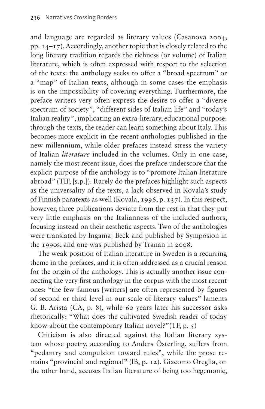and language are regarded as literary values (Casanova 2004, pp. 14–17). Accordingly, another topic that is closely related to the long literary tradition regards the richness (or volume) of Italian literature, which is often expressed with respect to the selection of the texts: the anthology seeks to offer a "broad spectrum" or a "map" of Italian texts, although in some cases the emphasis is on the impossibility of covering everything. Furthermore, the preface writers very often express the desire to offer a "diverse spectrum of society", "different sides of Italian life" and "today's Italian reality", implicating an extra-literary, educational purpose: through the texts, the reader can learn something about Italy. This becomes more explicit in the recent anthologies published in the new millennium, while older prefaces instead stress the variety of Italian *literature* included in the volumes. Only in one case, namely the most recent issue, does the preface underscore that the explicit purpose of the anthology is to "promote Italian literature abroad" (TIF, [s.p.]). Rarely do the prefaces highlight such aspects as the universality of the texts, a lack observed in Kovala's study of Finnish paratexts as well (Kovala, 1996, p. 137). In this respect, however, three publications deviate from the rest in that they put very little emphasis on the Italianness of the included authors, focusing instead on their aesthetic aspects. Two of the anthologies were translated by Ingamaj Beck and published by Symposion in the 1990s, and one was published by Tranan in 2008.

The weak position of Italian literature in Sweden is a recurring theme in the prefaces, and it is often addressed as a crucial reason for the origin of the anthology. This is actually another issue connecting the very first anthology in the corpus with the most recent ones: "the few famous [writers] are often represented by figures of second or third level in our scale of literary values" laments G. B. Arista (CA, p. 8), while 60 years later his successor asks rhetorically: "What does the cultivated Swedish reader of today know about the contemporary Italian novel?"(TF, p. 5)

Criticism is also directed against the Italian literary system whose poetry, according to Anders Österling, suffers from "pedantry and compulsion toward rules", while the prose remains "provincial and regional" (IB, p. 12). Giacomo Oreglia, on the other hand, accuses Italian literature of being too hegemonic,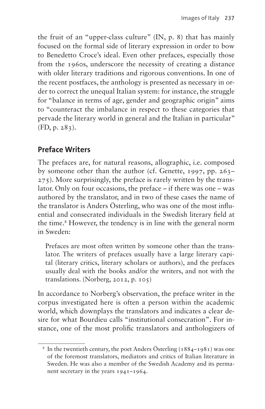the fruit of an "upper-class culture" (IN, p. 8) that has mainly focused on the formal side of literary expression in order to bow to Benedetto Croce's ideal. Even other prefaces, especially those from the 1960s, underscore the necessity of creating a distance with older literary traditions and rigorous conventions. In one of the recent postfaces, the anthology is presented as necessary in order to correct the unequal Italian system: for instance, the struggle for "balance in terms of age, gender and geographic origin" aims to "counteract the imbalance in respect to these categories that pervade the literary world in general and the Italian in particular" (FD, p. 283).

# **Preface Writers**

The prefaces are, for natural reasons, allographic, i.e. composed by someone other than the author (cf. Genette, 1997, pp. 263– 275). More surprisingly, the preface is rarely written by the translator. Only on four occasions, the preface – if there was one – was authored by the translator, and in two of these cases the name of the translator is Anders Österling, who was one of the most influential and consecrated individuals in the Swedish literary field at the time.<sup>[8](#page-8-0)</sup> However, the tendency is in line with the general norm in Sweden:

Prefaces are most often written by someone other than the translator. The writers of prefaces usually have a large literary capital (literary critics, literary scholars or authors), and the prefaces usually deal with the books and/or the writers, and not with the translations. (Norberg, 2012, p. 105)

In accordance to Norberg's observation, the preface writer in the corpus investigated here is often a person within the academic world, which downplays the translators and indicates a clear desire for what Bourdieu calls "institutional consecration". For instance, one of the most prolific translators and anthologizers of

<span id="page-8-0"></span><sup>&</sup>lt;sup>8</sup> In the twentieth century, the poet Anders Österling ( $1884-1981$ ) was one of the foremost translators, mediators and critics of Italian literature in Sweden. He was also a member of the Swedish Academy and its permanent secretary in the years 1941–1964.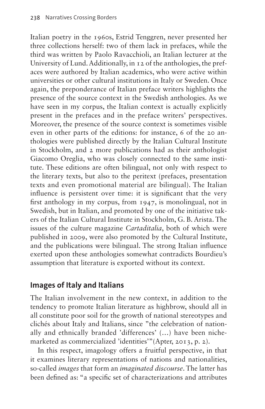Italian poetry in the 1960s, Estrid Tenggren, never presented her three collections herself: two of them lack in prefaces, while the third was written by Paolo Ravacchioli, an Italian lecturer at the University of Lund. Additionally, in 12 of the anthologies, the prefaces were authored by Italian academics, who were active within universities or other cultural institutions in Italy or Sweden. Once again, the preponderance of Italian preface writers highlights the presence of the source context in the Swedish anthologies. As we have seen in my corpus, the Italian context is actually explicitly present in the prefaces and in the preface writers' perspectives. Moreover, the presence of the source context is sometimes visible even in other parts of the editions: for instance, 6 of the 20 anthologies were published directly by the Italian Cultural Institute in Stockholm, and 2 more publications had as their anthologist Giacomo Oreglia, who was closely connected to the same institute. These editions are often bilingual, not only with respect to the literary texts, but also to the peritext (prefaces, presentation texts and even promotional material are bilingual). The Italian influence is persistent over time: it is significant that the very first anthology in my corpus, from 1947, is monolingual, not in Swedish, but in Italian, and promoted by one of the initiative takers of the Italian Cultural Institute in Stockholm, G. B. Arista. The issues of the culture magazine *Cartaditalia*, both of which were published in 2009, were also promoted by the Cultural Institute, and the publications were bilingual. The strong Italian influence exerted upon these anthologies somewhat contradicts Bourdieu's assumption that literature is exported without its context.

#### **Images of Italy and Italians**

The Italian involvement in the new context, in addition to the tendency to promote Italian literature as highbrow, should all in all constitute poor soil for the growth of national stereotypes and clichés about Italy and Italians, since "the celebration of nationally and ethnically branded 'differences' (…) have been nichemarketed as commercialized 'identities'"(Apter, 2013, p. 2).

In this respect, imagology offers a fruitful perspective, in that it examines literary representations of nations and nationalities, so-called *images* that form an *imaginated discourse*. The latter has been defined as: "a specific set of characterizations and attributes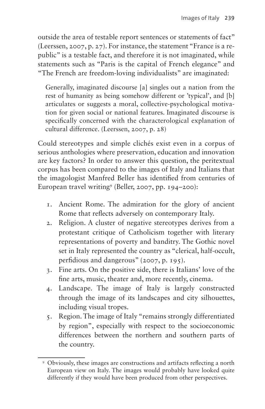outside the area of testable report sentences or statements of fact" (Leerssen, 2007, p. 27). For instance, the statement "France is a republic" is a testable fact, and therefore it is not imaginated, while statements such as "Paris is the capital of French elegance" and "The French are freedom-loving individualists" are imaginated:

Generally, imaginated discourse [a] singles out a nation from the rest of humanity as being somehow different or 'typical', and [b] articulates or suggests a moral, collective-psychological motivation for given social or national features. Imaginated discourse is specifically concerned with the characterological explanation of cultural difference. (Leerssen, 2007, p. 28)

Could stereotypes and simple clichés exist even in a corpus of serious anthologies where preservation, education and innovation are key factors? In order to answer this question, the peritextual corpus has been compared to the images of Italy and Italians that the imagologist Manfred Beller has identified from centuries of European travel writing[9](#page-10-0) (Beller, 2007, pp. 194–200):

- 1. Ancient Rome. The admiration for the glory of ancient Rome that reflects adversely on contemporary Italy.
- 2. Religion. A cluster of negative stereotypes derives from a protestant critique of Catholicism together with literary representations of poverty and banditry. The Gothic novel set in Italy represented the country as "clerical, half-occult, perfidious and dangerous" (2007, p. 195).
- 3. Fine arts. On the positive side, there is Italians' love of the fine arts, music, theater and, more recently, cinema.
- 4. Landscape. The image of Italy is largely constructed through the image of its landscapes and city silhouettes, including visual tropes.
- 5. Region. The image of Italy "remains strongly differentiated by region", especially with respect to the socioeconomic differences between the northern and southern parts of the country.

<span id="page-10-0"></span><sup>9</sup> Obviously, these images are constructions and artifacts reflecting a north European view on Italy. The images would probably have looked quite differently if they would have been produced from other perspectives.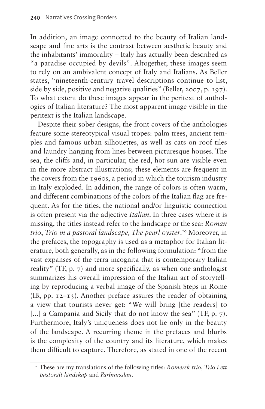In addition, an image connected to the beauty of Italian landscape and fine arts is the contrast between aesthetic beauty and the inhabitants' immorality – Italy has actually been described as "a paradise occupied by devils". Altogether, these images seem to rely on an ambivalent concept of Italy and Italians. As Beller states, "nineteenth-century travel descriptions continue to list, side by side, positive and negative qualities" (Beller, 2007, p. 197). To what extent do these images appear in the peritext of anthologies of Italian literature? The most apparent image visible in the peritext is the Italian landscape.

Despite their sober designs, the front covers of the anthologies feature some stereotypical visual tropes: palm trees, ancient temples and famous urban silhouettes, as well as cats on roof tiles and laundry hanging from lines between picturesque houses. The sea, the cliffs and, in particular, the red, hot sun are visible even in the more abstract illustrations; these elements are frequent in the covers from the 1960s, a period in which the tourism industry in Italy exploded. In addition, the range of colors is often warm, and different combinations of the colors of the Italian flag are frequent. As for the titles, the national and/or linguistic connection is often present via the adjective *Italian*. In three cases where it is missing, the titles instead refer to the landscape or the sea: *Roman trio*, *Trio in a pastoral landscape, The pearl oyster*. [10](#page-11-0) Moreover, in the prefaces, the topography is used as a metaphor for Italian literature, both generally, as in the following formulation: "from the vast expanses of the terra incognita that is contemporary Italian reality" (TF, p. 7) and more specifically, as when one anthologist summarizes his overall impression of the Italian art of storytelling by reproducing a verbal image of the Spanish Steps in Rome (IB, pp. 12–13). Another preface assures the reader of obtaining a view that tourists never get: "We will bring [the readers] to [...] a Campania and Sicily that do not know the sea" (TF, p. 7). Furthermore, Italy's uniqueness does not lie only in the beauty of the landscape. A recurring theme in the prefaces and blurbs is the complexity of the country and its literature, which makes them difficult to capture. Therefore, as stated in one of the recent

<span id="page-11-0"></span><sup>10</sup> These are my translations of the following titles: *Romersk trio*, *Trio i ett pastoralt landskap* and *Pärlmusslan*.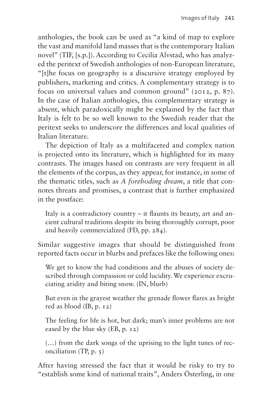anthologies, the book can be used as "a kind of map to explore the vast and manifold land masses that is the contemporary Italian novel" (TIF, [s.p.]). According to Cecilia Alvstad, who has analyzed the peritext of Swedish anthologies of non-European literature, "[t]he focus on geography is a discursive strategy employed by publishers, marketing and critics. A complementary strategy is to focus on universal values and common ground" (2012, p. 87). In the case of Italian anthologies, this complementary strategy is absent, which paradoxically might be explained by the fact that Italy is felt to be so well known to the Swedish reader that the peritext seeks to underscore the differences and local qualities of Italian literature.

The depiction of Italy as a multifaceted and complex nation is projected onto its literature, which is highlighted for its many contrasts. The images based on contrasts are very frequent in all the elements of the corpus, as they appear, for instance, in some of the thematic titles, such as *A foreboding dream*, a title that connotes threats and promises, a contrast that is further emphasized in the postface:

Italy is a contradictory country – it flaunts its beauty, art and ancient cultural traditions despite its being thoroughly corrupt, poor and heavily commercialized (FD, pp. 284).

Similar suggestive images that should be distinguished from reported facts occur in blurbs and prefaces like the following ones:

We get to know the bad conditions and the abuses of society described through compassion or cold lucidity. We experience excruciating aridity and biting snow. (IN, blurb)

But even in the grayest weather the grenade flower flares as bright red as blood (IB, p. 12)

The feeling for life is hot, but dark; man's inner problems are not eased by the blue sky (EB, p. 12)

(…) from the dark songs of the uprising to the light tunes of reconciliation (TP, p. 5)

After having stressed the fact that it would be risky to try to "establish some kind of national traits", Anders Österling, in one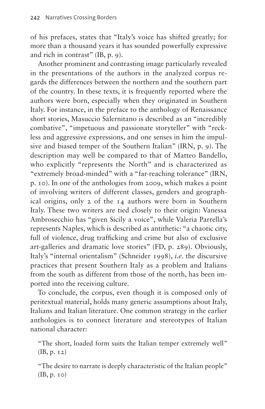of his prefaces, states that "Italy's voice has shifted greatly; for more than a thousand years it has sounded powerfully expressive and rich in contrast" (IB, p. 9).

Another prominent and contrasting image particularly revealed in the presentations of the authors in the analyzed corpus regards the differences between the northern and the southern part of the country. In these texts, it is frequently reported where the authors were born, especially when they originated in Southern Italy. For instance, in the preface to the anthology of Renaissance short stories, Masuccio Salernitano is described as an "incredibly combative", "impetuous and passionate storyteller" with "reckless and aggressive expressions, and one senses in him the impulsive and biased temper of the Southern Italian" (IRN, p. 9). The description may well be compared to that of Matteo Bandello, who explicitly "represents the North" and is characterized as "extremely broad-minded" with a "far-reaching tolerance" (IRN, p. 10). In one of the anthologies from 2009, which makes a point of involving writers of different classes, genders and geographical origins, only 2 of the 14 authors were born in Southern Italy. These two writers are tied closely to their origin: Vanessa Ambrosecchio has "given Sicily a voice", while Valeria Parrella's represents Naples, which is described as antithetic: "a chaotic city, full of violence, drug trafficking and crime but also of exclusive art-galleries and dramatic love stories" (FD, p. 289). Obviously, Italy's "internal orientalism" (Schneider 1998), *i.e*. the discursive practices that present Southern Italy as a problem and Italians from the south as different from those of the north, has been imported into the receiving culture.

To conclude, the corpus, even though it is composed only of peritextual material, holds many generic assumptions about Italy, Italians and Italian literature. One common strategy in the earlier anthologies is to connect literature and stereotypes of Italian national character:

"The short, loaded form suits the Italian temper extremely well" (IB, p. 12)

"The desire to narrate is deeply characteristic of the Italian people" (IB, p. 10)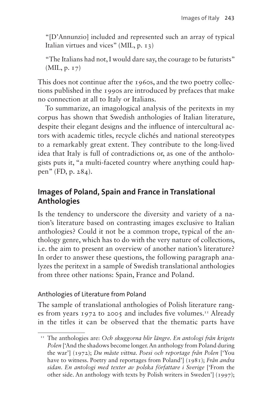"[D'Annunzio] included and represented such an array of typical Italian virtues and vices" (MIL, p. 13)

"The Italians had not, I would dare say, the courage to be futurists" (MIL, p. 17)

This does not continue after the 1960s, and the two poetry collections published in the 1990s are introduced by prefaces that make no connection at all to Italy or Italians.

To summarize, an imagological analysis of the peritexts in my corpus has shown that Swedish anthologies of Italian literature, despite their elegant designs and the influence of intercultural actors with academic titles, recycle clichés and national stereotypes to a remarkably great extent. They contribute to the long-lived idea that Italy is full of contradictions or, as one of the anthologists puts it, "a multi-faceted country where anything could happen" (FD, p. 284).

#### **Images of Poland, Spain and France in Translational Anthologies**

Is the tendency to underscore the diversity and variety of a nation's literature based on contrasting images exclusive to Italian anthologies? Could it not be a common trope, typical of the anthology genre, which has to do with the very nature of collections, i.e. the aim to present an overview of another nation's literature? In order to answer these questions, the following paragraph analyzes the peritext in a sample of Swedish translational anthologies from three other nations: Spain, France and Poland.

#### Anthologies of Literature from Poland

The sample of translational anthologies of Polish literature ranges from years 1972 to 2005 and includes five volumes.<sup>11</sup> Already in the titles it can be observed that the thematic parts have

<span id="page-14-0"></span><sup>11</sup> The anthologies are: *Och skuggorna blir längre. En antologi från krigets Polen* ['And the shadows become longer. An anthology from Poland during the war'] (1972); *Du måste vittna. Poesi och reportage från Polen* ['You have to witness. Poetry and reportages from Poland'] (1981); *Från andra sidan. En antologi med texter av polska författare i Sverige* ['From the other side. An anthology with texts by Polish writers in Sweden'] (1997);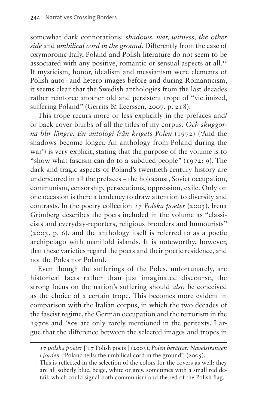somewhat dark connotations: *shadows, war, witness, the other side* and *umbilical cord in the ground*. Differently from the case of oxymoronic Italy, Poland and Polish literature do not seem to be associated with any positive, romantic or sensual aspects at all.<sup>12</sup> If mysticism, honor, idealism and messianism were elements of Polish auto- and hetero-images before and during Romanticism, it seems clear that the Swedish anthologies from the last decades rather reinforce another old and persistent trope of "victimized, suffering Poland" (Gerrits & Leerssen, 2007, p. 218).

This trope recurs more or less explicitly in the prefaces and/ or back cover blurbs of all the titles of my corpus. *Och skuggorna blir längre. En antologi från krigets Polen* (1972) ('And the shadows become longer. An anthology from Poland during the war') is very explicit, stating that the purpose of the volume is to "show what fascism can do to a subdued people" (1972: 9). The dark and tragic aspects of Poland's twentieth-century history are underscored in all the prefaces – the holocaust, Soviet occupation, communism, censorship, persecutions, oppression, exile. Only on one occasion is there a tendency to draw attention to diversity and contrasts. In the poetry collection *17 Polska poeter* (2003), Irena Grönberg describes the poets included in the volume as "classicists and everyday-reporters, religious brooders and humourists" (2003, p. 6), and the anthology itself is referred to as a poetic archipelago with manifold islands. It is noteworthy, however, that these varieties regard the poets and their poetic residence, and not the Poles nor Poland.

Even though the sufferings of the Poles, unfortunately, are historical facts rather than just imaginated discourse, the strong focus on the nation's suffering should *also* be conceived as the choice of a certain trope. This becomes more evident in comparison with the Italian corpus, in which the two decades of the fascist regime, the German occupation and the terrorism in the 1970s and '80s are only rarely mentioned in the peritexts. I argue that the difference between the selected images and tropes in

*<sup>17</sup> polska poeter* ['17 Polish poets'] (2003); *Polen berättar: Navelsträngen i* jorden ['Poland tells: the umbilical cord in the ground'] (2005).

<span id="page-15-0"></span><sup>&</sup>lt;sup>12</sup> This is reflected in the selection of the colors for the covers as well: they are all soberly blue, beige, white or grey, sometimes with a small red detail, which could signal both communism and the red of the Polish flag.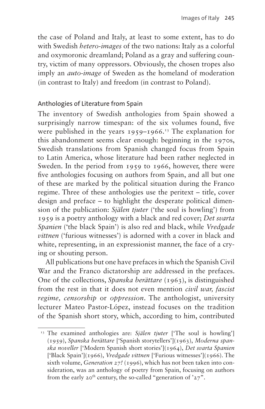the case of Poland and Italy, at least to some extent, has to do with Swedish *hetero-images* of the two nations: Italy as a colorful and oxymoronic dreamland; Poland as a gray and suffering country, victim of many oppressors. Obviously, the chosen tropes also imply an *auto-image* of Sweden as the homeland of moderation (in contrast to Italy) and freedom (in contrast to Poland).

#### Anthologies of Literature from Spain

The inventory of Swedish anthologies from Spain showed a surprisingly narrow timespan: of the six volumes found, five were published in the years  $1959-1966$ .<sup>13</sup> The explanation for this abandonment seems clear enough: beginning in the 1970s, Swedish translations from Spanish changed focus from Spain to Latin America, whose literature had been rather neglected in Sweden. In the period from 1959 to 1966, however, there were five anthologies focusing on authors from Spain, and all but one of these are marked by the political situation during the Franco regime. Three of these anthologies use the peritext – title, cover design and preface – to highlight the desperate political dimension of the publication: *Själen tjuter* ('the soul is howling') from 1959 is a poetry anthology with a black and red cover; *Det svarta Spanien* ('the black Spain') is also red and black, while *Vredgade vittnen* ('furious witnesses') is adorned with a cover in black and white, representing, in an expressionist manner, the face of a crying or shouting person.

All publications but one have prefaces in which the Spanish Civil War and the Franco dictatorship are addressed in the prefaces. One of the collections, *Spanska berättare* (1963), is distinguished from the rest in that it does not even mention *civil war, fascist regime, censorship* or *oppression*. The anthologist, university lecturer Mateo Pastor-López, instead focuses on the tradition of the Spanish short story, which, according to him, contributed

<span id="page-16-0"></span><sup>&</sup>lt;sup>13</sup> The examined anthologies are: *Själen tjuter* ['The soul is howling'] (1959), *Spanska berättare* ['Spanish storytellers'](1963), *Moderna spanska noveller* ['Modern Spanish short stories'](1964), *Det svarta Spanien* ['Black Spain'](1966), *Vredgade vittnen* ['Furious witnesses'](1966). The sixth volume, *Generation 27!* (1996), which has not been taken into consideration, was an anthology of poetry from Spain, focusing on authors from the early  $20^{th}$  century, the so-called "generation of ' $27$ ".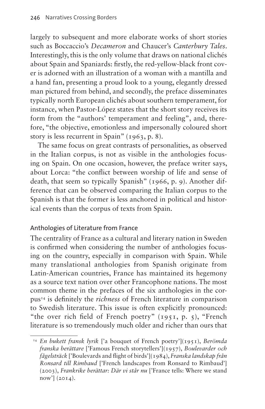largely to subsequent and more elaborate works of short stories such as Boccaccio's *Decameron* and Chaucer's *Canterbury Tales*. Interestingly, this is the only volume that draws on national clichés about Spain and Spaniards: firstly, the red-yellow-black front cover is adorned with an illustration of a woman with a mantilla and a hand fan, presenting a proud look to a young, elegantly dressed man pictured from behind, and secondly, the preface disseminates typically north European clichés about southern temperament, for instance, when Pastor-López states that the short story receives its form from the "authors' temperament and feeling", and, therefore, "the objective, emotionless and impersonally coloured short story is less recurrent in Spain" (1963, p. 8).

The same focus on great contrasts of personalities, as observed in the Italian corpus, is not as visible in the anthologies focusing on Spain. On one occasion, however, the preface writer says, about Lorca: "the conflict between worship of life and sense of death, that seem so typically Spanish" (1966, p. 9). Another difference that can be observed comparing the Italian corpus to the Spanish is that the former is less anchored in political and historical events than the corpus of texts from Spain.

#### Anthologies of Literature from France

The centrality of France as a cultural and literary nation in Sweden is confirmed when considering the number of anthologies focusing on the country, especially in comparison with Spain. While many translational anthologies from Spanish originate from Latin-American countries, France has maintained its hegemony as a source text nation over other Francophone nations. The most common theme in the prefaces of the six anthologies in the corpu[s14](#page-17-0) is definitely the *richness* of French literature in comparison to Swedish literature. This issue is often explicitly pronounced: "the over rich field of French poetry" (1951, p. 5), "French literature is so tremendously much older and richer than ours that

<span id="page-17-0"></span><sup>14</sup> *En bukett fransk lyrik* ['a bouquet of French poetry'](1951), *Berömda franska berättare* ['Famous French storytellers'](1957), *Boulevarder och fågelsträck* ['Boulevards and flight of birds'](1984), *Franska landskap från Ronsard till Rimbaud* ['French landscapes from Ronsard to Rimbaud'] (2003), *Frankrike berättar: Där vi står nu* ['France tells: Where we stand  $now'$ ] (2014).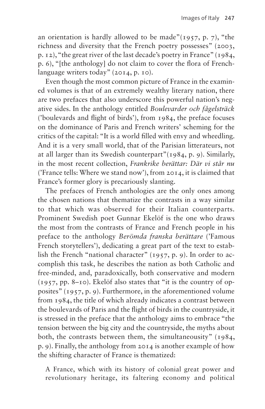an orientation is hardly allowed to be made"( $1957$ , p. 7), "the richness and diversity that the French poetry possesses" (2003, p. 12), "the great river of the last decade's poetry in France" (1984, p. 6), "[the anthology] do not claim to cover the flora of Frenchlanguage writers today" (2014, p. 10).

Even though the most common picture of France in the examined volumes is that of an extremely wealthy literary nation, there are two prefaces that also underscore this powerful nation's negative sides. In the anthology entitled *Boulevarder och fågelsträck* ('boulevards and flight of birds'), from 1984, the preface focuses on the dominance of Paris and French writers' scheming for the critics of the capital: "It is a world filled with envy and wheedling. And it is a very small world, that of the Parisian litterateurs, not at all larger than its Swedish counterpart"(1984, p. 9). Similarly, in the most recent collection, *Frankrike berättar: Där vi står nu*  ('France tells: Where we stand now'), from 2014, it is claimed that France's former glory is precariously slanting.

The prefaces of French anthologies are the only ones among the chosen nations that thematize the contrasts in a way similar to that which was observed for their Italian counterparts. Prominent Swedish poet Gunnar Ekelöf is the one who draws the most from the contrasts of France and French people in his preface to the anthology *Berömda franska berättare* ('Famous French storytellers'), dedicating a great part of the text to establish the French "national character" (1957, p. 9). In order to accomplish this task, he describes the nation as both Catholic and free-minded, and, paradoxically, both conservative and modern (1957, pp. 8–10). Ekelöf also states that "it is the country of opposites" (1957, p. 9). Furthermore, in the aforementioned volume from 1984, the title of which already indicates a contrast between the boulevards of Paris and the flight of birds in the countryside, it is stressed in the preface that the anthology aims to embrace "the tension between the big city and the countryside, the myths about both, the contrasts between them, the simultaneousity" (1984, p. 9). Finally, the anthology from 2014 is another example of how the shifting character of France is thematized:

A France, which with its history of colonial great power and revolutionary heritage, its faltering economy and political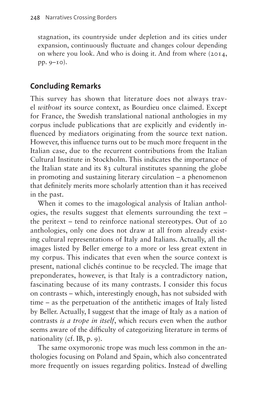stagnation, its countryside under depletion and its cities under expansion, continuously fluctuate and changes colour depending on where you look. And who is doing it. And from where (2014, pp. 9–10).

# **Concluding Remarks**

This survey has shown that literature does not always travel *without* its source context, as Bourdieu once claimed. Except for France, the Swedish translational national anthologies in my corpus include publications that are explicitly and evidently influenced by mediators originating from the source text nation. However, this influence turns out to be much more frequent in the Italian case, due to the recurrent contributions from the Italian Cultural Institute in Stockholm. This indicates the importance of the Italian state and its 83 cultural institutes spanning the globe in promoting and sustaining literary circulation – a phenomenon that definitely merits more scholarly attention than it has received in the past.

When it comes to the imagological analysis of Italian anthologies, the results suggest that elements surrounding the text – the peritext – tend to reinforce national stereotypes. Out of 20 anthologies, only one does not draw at all from already existing cultural representations of Italy and Italians. Actually, all the images listed by Beller emerge to a more or less great extent in my corpus. This indicates that even when the source context is present, national clichés continue to be recycled. The image that preponderates, however, is that Italy is a contradictory nation, fascinating because of its many contrasts. I consider this focus on contrasts – which, interestingly enough, has not subsided with time – as the perpetuation of the antithetic images of Italy listed by Beller. Actually, I suggest that the image of Italy as a nation of contrasts *is a trope in itself*, which recurs even when the author seems aware of the difficulty of categorizing literature in terms of nationality (cf. IB, p. 9).

The same oxymoronic trope was much less common in the anthologies focusing on Poland and Spain, which also concentrated more frequently on issues regarding politics. Instead of dwelling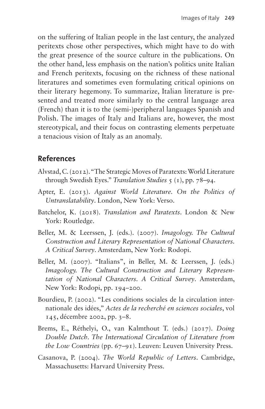on the suffering of Italian people in the last century, the analyzed peritexts chose other perspectives, which might have to do with the great presence of the source culture in the publications. On the other hand, less emphasis on the nation's politics unite Italian and French peritexts, focusing on the richness of these national literatures and sometimes even formulating critical opinions on their literary hegemony. To summarize, Italian literature is presented and treated more similarly to the central language area (French) than it is to the (semi-)peripheral languages Spanish and Polish. The images of Italy and Italians are, however, the most stereotypical, and their focus on contrasting elements perpetuate a tenacious vision of Italy as an anomaly.

#### **References**

- Alvstad, C. (2012). "The Strategic Moves of Paratexts: World Literature through Swedish Eyes." *Translation Studies* 5 (1), pp. 78–94.
- Apter, E. (2013). *Against World Literature. On the Politics of Untranslatability*. London, New York: Verso.
- Batchelor, K. (2018). *Translation and Paratexts*. London & New York: Routledge.
- Beller, M. & Leerssen, J. (eds.). (2007). *Imagology. The Cultural Construction and Literary Representation of National Characters. A Critical Survey*. Amsterdam, New York: Rodopi.
- Beller, M. (2007). "Italians", in Beller, M. & Leerssen, J. (eds.) *Imagology. The Cultural Construction and Literary Representation of National Characters. A Critical Survey*. Amsterdam, New York: Rodopi, pp. 194–200.
- Bourdieu, P. (2002). "Les conditions sociales de la circulation internationale des idées," *Actes de la recherché en sciences sociales*, vol 145, décembre 2002, pp. 3–8.
- Brems, E., Réthelyi, O., van Kalmthout T. (eds.) (2017). *Doing Double Dutch. The International Circulation of Literature from the Low Countries* (pp. 67–91). Leuven: Leuven University Press.
- Casanova, P. (2004). *The World Republic of Letters*. Cambridge, Massachusetts: Harvard University Press.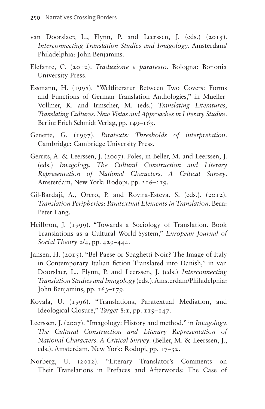- van Doorslaer, L., Flynn, P. and Leerssen, J. (eds.) (2015). *Interconnecting Translation Studies and Imagology*. Amsterdam/ Philadelphia: John Benjamins.
- Elefante, C. (2012). *Traduzione e paratesto*. Bologna: Bononia University Press.
- Essmann, H. (1998). "Weltliteratur Between Two Covers: Forms and Functions of German Translation Anthologies," in Mueller-Vollmer, K. and Irmscher, M. (eds.) *Translating Literatures, Translating Cultures. New Vistas and Approaches in Literary Studies*. Berlin: Erich Schmidt Verlag, pp. 149–163.
- Genette, G. (1997). *Paratexts: Thresholds of interpretation*. Cambridge: Cambridge University Press.
- Gerrits, A. & Leerssen, J. (2007). Poles, in Beller, M. and Leerssen, J. (eds.) *Imagology. The Cultural Construction and Literary Representation of National Characters. A Critical Survey*. Amsterdam, New York: Rodopi. pp. 216–219.
- Gil-Bardají, A., Orero, P. and Rovira-Esteva, S. (eds.). (2012). *Translation Peripheries: Paratextual Elements in Translation*. Bern: Peter Lang.
- Heilbron, J. (1999). "Towards a Sociology of Translation. Book Translations as a Cultural World-System," *European Journal of Social Theory* 2/4, pp. 429–444.
- Jansen, H. (2015). "Bel Paese or Spaghetti Noir? The Image of Italy in Contemporary Italian fiction Translated into Danish," in van Doorslaer, L., Flynn, P. and Leerssen, J. (eds.) *Interconnecting Translation Studies and Imagology* (eds.). Amsterdam/Philadelphia: John Benjamins, pp. 163–179.
- Kovala, U. (1996). "Translations, Paratextual Mediation, and Ideological Closure," *Target* 8:1, pp. 119–147.
- Leerssen, J. (2007). "Imagology: History and method," in *Imagology. The Cultural Construction and Literary Representation of National Characters. A Critical Survey*. (Beller, M. & Leerssen, J., eds.). Amsterdam, New York: Rodopi, pp. 17–32.
- Norberg, U. (2012). "Literary Translator's Comments on Their Translations in Prefaces and Afterwords: The Case of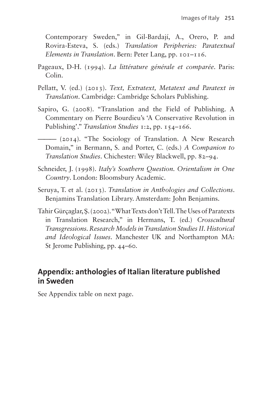Contemporary Sweden," in Gil-Bardají, A., Orero, P. and Rovira-Esteva, S. (eds.) *Translation Peripheries: Paratextual Elements in Translation*. Bern: Peter Lang, pp. 101–116.

- Pageaux, D-H. (1994). *La littérature générale et comparée*. Paris: Colin.
- Pellatt, V. (ed.) (2013). *Text, Extratext, Metatext and Paratext in Translation*. Cambridge: Cambridge Scholars Publishing.
- Sapiro, G. (2008). "Translation and the Field of Publishing. A Commentary on Pierre Bourdieu's 'A Conservative Revolution in Publishing'." *Translation Studies* 1:2, pp. 154–166.
- ——— (2014). "The Sociology of Translation. A New Research Domain," in Bermann, S. and Porter, C. (eds.) *A Companion to Translation Studies*. Chichester: Wiley Blackwell, pp. 82–94.
- Schneider, J. (1998). *Italy's Southern Question. Orientalism in One Country*. London: Bloomsbury Academic.
- Seruya, T. et al. (2013). *Translation in Anthologies and Collections*. Benjamins Translation Library. Amsterdam: John Benjamins.
- Tahir Gürçaglar, Ş. (2002). "What Texts don't Tell. The Uses of Paratexts in Translation Research," in Hermans, T. (ed.) *Crosscultural Transgressions. Research Models in Translation Studies II. Historical and Ideological Issues*. Manchester UK and Northampton MA: St Jerome Publishing, pp. 44–60.

#### **Appendix: anthologies of Italian literature published in Sweden**

See Appendix table on next page.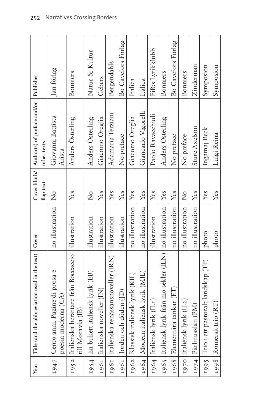| Year | Title (and the abbreviation used in the text) $\vert$ Cover             |                 | flap text      | Cover blurb/   Author(s) of preface and/or   Publisher<br>other texts |                    |
|------|-------------------------------------------------------------------------|-----------------|----------------|-----------------------------------------------------------------------|--------------------|
|      | 1947   Cento anni. Pagine di prosa e<br>poesia moderna (CA)             | no illustration | $\frac{1}{2}$  | Giovanni Battista<br>Arista                                           | Jan förlag         |
| 1952 | Italienska berättare från Boccaccio   illustration<br>till Moravia (IB) |                 | Yes            | Anders Osterling                                                      | <b>Bonniers</b>    |
|      | 1954   En bukett italiensk lyrik (EB)                                   | illustration    | $\overline{z}$ | Anders Osterling                                                      | Natur & Kultur     |
|      | 1961   Italienska noveller (IN)                                         | illustration    | Yes            | Giacomo Oreglia                                                       | Gebers             |
|      | 1961   Italienska renässansnoveller (IRN)                               | illustration    | Yes            | Adamaria Terziani                                                     | Bergendahls        |
|      | 1961   Jorden och döden (JD)                                            | illustration    | Yes            | No preface                                                            | Bo Cavefors Förlag |
|      | 1962   Klassisk italiensk lyrik (KIL)                                   | no illustration | Yes            | Giacomo Oreglia                                                       | Italica            |
|      | 1964   Modern italiensk lyrik (MIL)                                     | no illustration | Yes            | Giancarlo Vigorelli                                                   | Italica            |
|      | 1964   Italiensk lyrik (IL1)                                            | illustration    | Yes            | Paolo Ravacchioli                                                     | FiB:s Lyrikklubb   |
|      | 1965   Italiensk lyrik från nio sekler (ILN)   no illustration          |                 | Yes            | Anders Österling                                                      | Bonniers           |
|      | 1968   Elementära tankar (ET)                                           | no illustration | Yes            | No preface                                                            | Bo Cavefors Förlag |
|      | 1970 Italiensk lyrik (IL2)                                              | no illustration | $\frac{1}{2}$  | No preface                                                            | Bonniers           |
|      | 1974   Pärlmusslan (PM)                                                 | no illustration | Yes            | Sture Axelson                                                         | Zinderman          |
|      | 1995 Trio i ett pastoralt landskap (TP)                                 | photo           | Yes            | Ingamaj Beck                                                          | Symposion          |
|      | 1998   Romersk trio (RT)                                                | photo           | Yes            | Luigi Reina                                                           | Symposion          |